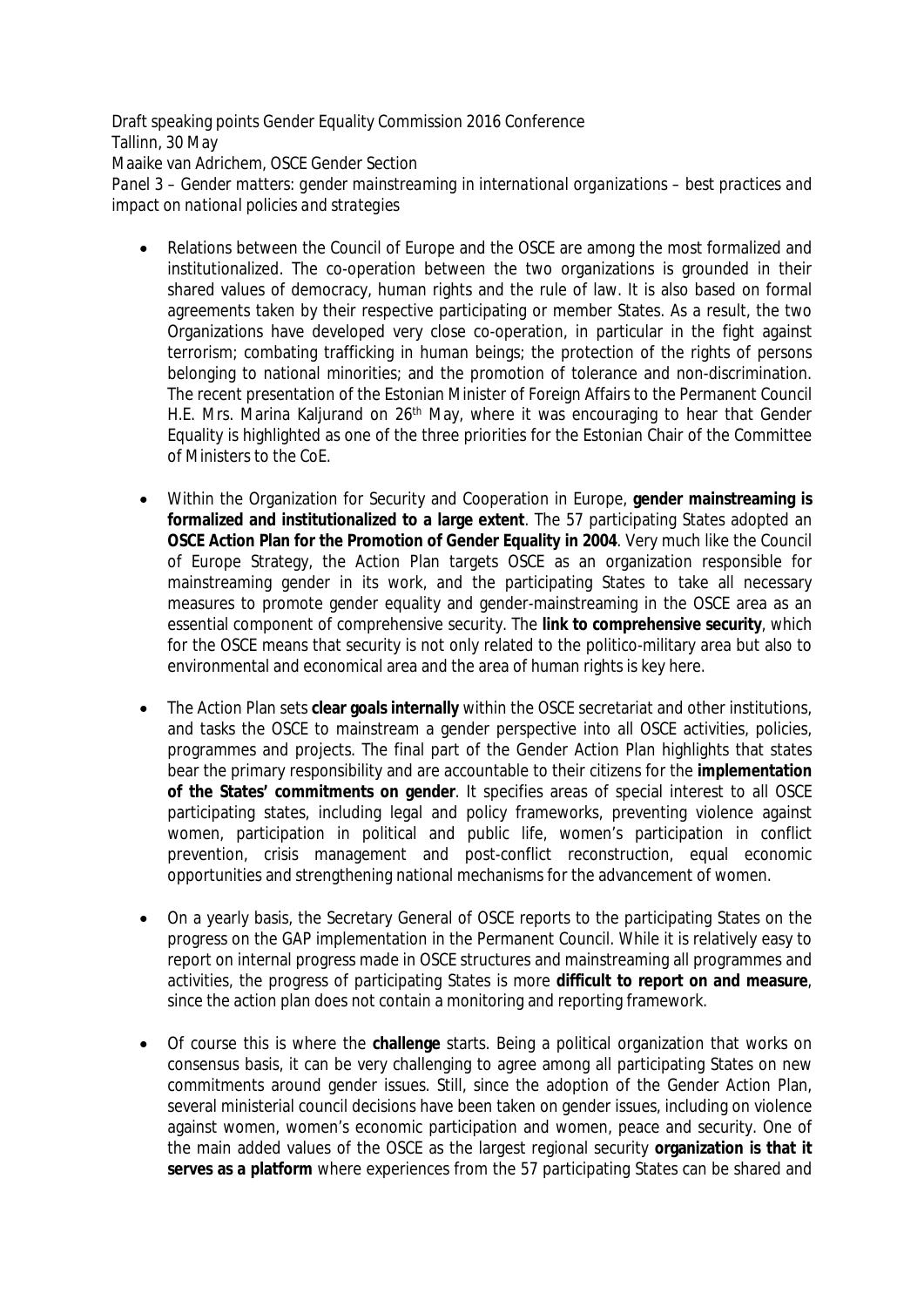Draft speaking points Gender Equality Commission 2016 Conference Tallinn, 30 May Maaike van Adrichem, OSCE Gender Section *Panel 3 – Gender matters: gender mainstreaming in international organizations – best practices and impact on national policies and strategies*

- Relations between the Council of Europe and the OSCE are among the most formalized and institutionalized. The co-operation between the two organizations is grounded in their shared values of democracy, human rights and the rule of law. It is also based on formal agreements taken by their respective participating or member States. As a result, the two Organizations have developed very close co-operation, in particular in the fight against terrorism; combating trafficking in human beings; the protection of the rights of persons belonging to national minorities; and the promotion of tolerance and non-discrimination. The recent presentation of the Estonian Minister of Foreign Affairs to the Permanent Council H.E. Mrs. Marina Kaljurand on 26<sup>th</sup> May, where it was encouraging to hear that Gender Equality is highlighted as one of the three priorities for the Estonian Chair of the Committee of Ministers to the CoE.
- Within the Organization for Security and Cooperation in Europe, **gender mainstreaming is formalized and institutionalized to a large extent**. The 57 participating States adopted an **OSCE Action Plan for the Promotion of Gender Equality in 2004**. Very much like the Council of Europe Strategy, the Action Plan targets OSCE as an organization responsible for mainstreaming gender in its work, and the participating States to take all necessary measures to promote gender equality and gender-mainstreaming in the OSCE area as an essential component of comprehensive security. The **link to comprehensive security**, which for the OSCE means that security is not only related to the politico-military area but also to environmental and economical area and the area of human rights is key here.
- The Action Plan sets **clear goals internally** within the OSCE secretariat and other institutions, and tasks the OSCE to mainstream a gender perspective into all OSCE activities, policies, programmes and projects. The final part of the Gender Action Plan highlights that states bear the primary responsibility and are accountable to their citizens for the **implementation of the States' commitments on gender**. It specifies areas of special interest to all OSCE participating states, including legal and policy frameworks, preventing violence against women, participation in political and public life, women's participation in conflict prevention, crisis management and post-conflict reconstruction, equal economic opportunities and strengthening national mechanisms for the advancement of women.
- On a yearly basis, the Secretary General of OSCE reports to the participating States on the progress on the GAP implementation in the Permanent Council. While it is relatively easy to report on internal progress made in OSCE structures and mainstreaming all programmes and activities, the progress of participating States is more **difficult to report on and measure**, since the action plan does not contain a monitoring and reporting framework.
- Of course this is where the **challenge** starts. Being a political organization that works on consensus basis, it can be very challenging to agree among all participating States on new commitments around gender issues. Still, since the adoption of the Gender Action Plan, several ministerial council decisions have been taken on gender issues, including on violence against women, women's economic participation and women, peace and security. One of the main added values of the OSCE as the largest regional security **organization is that it serves as a platform** where experiences from the 57 participating States can be shared and